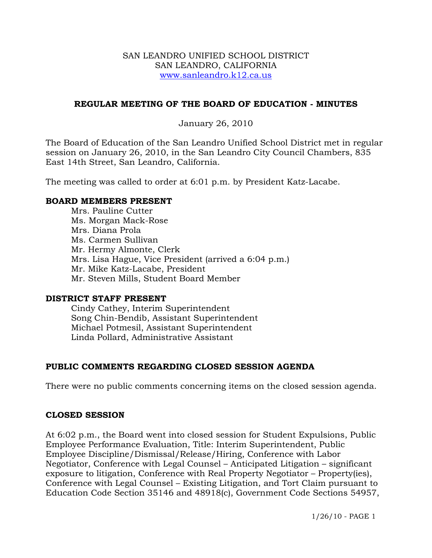#### SAN LEANDRO UNIFIED SCHOOL DISTRICT SAN LEANDRO, CALIFORNIA www.sanleandro.k12.ca.us

### **REGULAR MEETING OF THE BOARD OF EDUCATION - MINUTES**

### January 26, 2010

The Board of Education of the San Leandro Unified School District met in regular session on January 26, 2010, in the San Leandro City Council Chambers, 835 East 14th Street, San Leandro, California.

The meeting was called to order at 6:01 p.m. by President Katz-Lacabe.

#### **BOARD MEMBERS PRESENT**

Mrs. Pauline Cutter Ms. Morgan Mack-Rose Mrs. Diana Prola Ms. Carmen Sullivan Mr. Hermy Almonte, Clerk Mrs. Lisa Hague, Vice President (arrived a 6:04 p.m.) Mr. Mike Katz-Lacabe, President Mr. Steven Mills, Student Board Member

#### **DISTRICT STAFF PRESENT**

Cindy Cathey, Interim Superintendent Song Chin-Bendib, Assistant Superintendent Michael Potmesil, Assistant Superintendent Linda Pollard, Administrative Assistant

## **PUBLIC COMMENTS REGARDING CLOSED SESSION AGENDA**

There were no public comments concerning items on the closed session agenda.

#### **CLOSED SESSION**

At 6:02 p.m., the Board went into closed session for Student Expulsions, Public Employee Performance Evaluation, Title: Interim Superintendent, Public Employee Discipline/Dismissal/Release/Hiring, Conference with Labor Negotiator, Conference with Legal Counsel – Anticipated Litigation – significant exposure to litigation, Conference with Real Property Negotiator – Property(ies), Conference with Legal Counsel – Existing Litigation, and Tort Claim pursuant to Education Code Section 35146 and 48918(c), Government Code Sections 54957,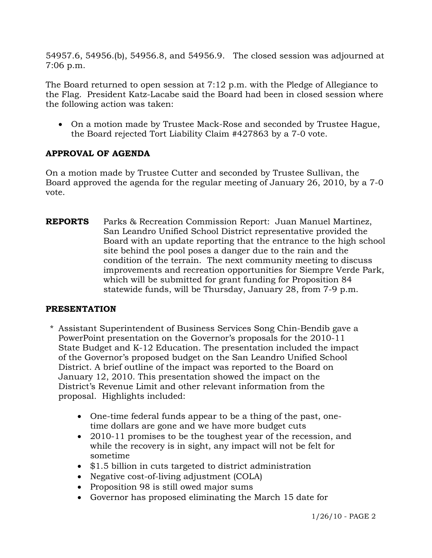54957.6, 54956.(b), 54956.8, and 54956.9. The closed session was adjourned at 7:06 p.m.

The Board returned to open session at 7:12 p.m. with the Pledge of Allegiance to the Flag. President Katz-Lacabe said the Board had been in closed session where the following action was taken:

• On a motion made by Trustee Mack-Rose and seconded by Trustee Hague, the Board rejected Tort Liability Claim #427863 by a 7-0 vote.

# **APPROVAL OF AGENDA**

On a motion made by Trustee Cutter and seconded by Trustee Sullivan, the Board approved the agenda for the regular meeting of January 26, 2010, by a 7-0 vote.

**REPORTS** Parks & Recreation Commission Report: Juan Manuel Martinez, San Leandro Unified School District representative provided the Board with an update reporting that the entrance to the high school site behind the pool poses a danger due to the rain and the condition of the terrain. The next community meeting to discuss improvements and recreation opportunities for Siempre Verde Park, which will be submitted for grant funding for Proposition 84 statewide funds, will be Thursday, January 28, from 7-9 p.m.

## **PRESENTATION**

- \* Assistant Superintendent of Business Services Song Chin-Bendib gave a PowerPoint presentation on the Governor's proposals for the 2010-11 State Budget and K-12 Education. The presentation included the impact of the Governor's proposed budget on the San Leandro Unified School District. A brief outline of the impact was reported to the Board on January 12, 2010. This presentation showed the impact on the District's Revenue Limit and other relevant information from the proposal. Highlights included:
	- One-time federal funds appear to be a thing of the past, onetime dollars are gone and we have more budget cuts
	- 2010-11 promises to be the toughest year of the recession, and while the recovery is in sight, any impact will not be felt for sometime
	- \$1.5 billion in cuts targeted to district administration
	- Negative cost-of-living adjustment (COLA)
	- Proposition 98 is still owed major sums
	- Governor has proposed eliminating the March 15 date for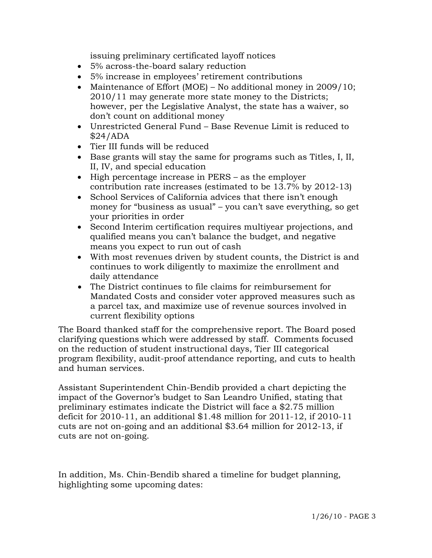issuing preliminary certificated layoff notices

- 5% across-the-board salary reduction
- 5% increase in employees' retirement contributions
- Maintenance of Effort (MOE) No additional money in 2009/10; 2010/11 may generate more state money to the Districts; however, per the Legislative Analyst, the state has a waiver, so don't count on additional money
- Unrestricted General Fund Base Revenue Limit is reduced to \$24/ADA
- Tier III funds will be reduced
- Base grants will stay the same for programs such as Titles, I, II, II, IV, and special education
- High percentage increase in PERS as the employer contribution rate increases (estimated to be 13.7% by 2012-13)
- School Services of California advices that there isn't enough money for "business as usual" – you can't save everything, so get your priorities in order
- Second Interim certification requires multiyear projections, and qualified means you can't balance the budget, and negative means you expect to run out of cash
- With most revenues driven by student counts, the District is and continues to work diligently to maximize the enrollment and daily attendance
- The District continues to file claims for reimbursement for Mandated Costs and consider voter approved measures such as a parcel tax, and maximize use of revenue sources involved in current flexibility options

 The Board thanked staff for the comprehensive report. The Board posed clarifying questions which were addressed by staff. Comments focused on the reduction of student instructional days, Tier III categorical program flexibility, audit-proof attendance reporting, and cuts to health and human services.

 Assistant Superintendent Chin-Bendib provided a chart depicting the impact of the Governor's budget to San Leandro Unified, stating that preliminary estimates indicate the District will face a \$2.75 million deficit for 2010-11, an additional \$1.48 million for 2011-12, if 2010-11 cuts are not on-going and an additional \$3.64 million for 2012-13, if cuts are not on-going.

 In addition, Ms. Chin-Bendib shared a timeline for budget planning, highlighting some upcoming dates: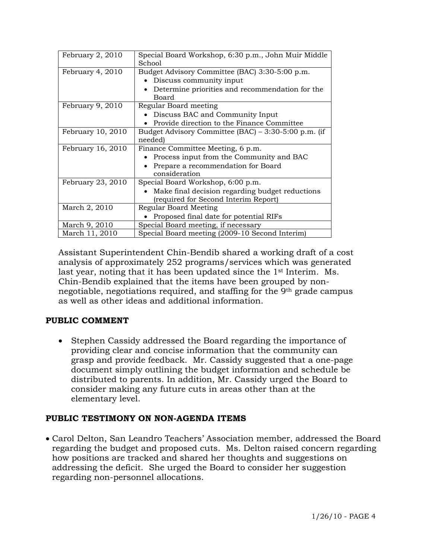| February 2, 2010  | Special Board Workshop, 6:30 p.m., John Muir Middle<br>School |
|-------------------|---------------------------------------------------------------|
| February 4, 2010  | Budget Advisory Committee (BAC) 3:30-5:00 p.m.                |
|                   | Discuss community input                                       |
|                   | Determine priorities and recommendation for the               |
|                   | Board                                                         |
| February 9, 2010  | Regular Board meeting                                         |
|                   | Discuss BAC and Community Input                               |
|                   | Provide direction to the Finance Committee                    |
| February 10, 2010 | Budget Advisory Committee (BAC) - 3:30-5:00 p.m. (if          |
|                   | needed)                                                       |
|                   |                                                               |
| February 16, 2010 | Finance Committee Meeting, 6 p.m.                             |
|                   | Process input from the Community and BAC                      |
|                   | Prepare a recommendation for Board                            |
|                   | consideration                                                 |
| February 23, 2010 | Special Board Workshop, 6:00 p.m.                             |
|                   | Make final decision regarding budget reductions               |
|                   | (required for Second Interim Report)                          |
| March 2, 2010     | Regular Board Meeting                                         |
|                   | Proposed final date for potential RIFs                        |
| March 9, 2010     | Special Board meeting, if necessary                           |

 Assistant Superintendent Chin-Bendib shared a working draft of a cost analysis of approximately 252 programs/services which was generated last year, noting that it has been updated since the 1<sup>st</sup> Interim. Ms. Chin-Bendib explained that the items have been grouped by nonnegotiable, negotiations required, and staffing for the 9th grade campus as well as other ideas and additional information.

# **PUBLIC COMMENT**

• Stephen Cassidy addressed the Board regarding the importance of providing clear and concise information that the community can grasp and provide feedback. Mr. Cassidy suggested that a one-page document simply outlining the budget information and schedule be distributed to parents. In addition, Mr. Cassidy urged the Board to consider making any future cuts in areas other than at the elementary level.

# **PUBLIC TESTIMONY ON NON-AGENDA ITEMS**

• Carol Delton, San Leandro Teachers' Association member, addressed the Board regarding the budget and proposed cuts. Ms. Delton raised concern regarding how positions are tracked and shared her thoughts and suggestions on addressing the deficit. She urged the Board to consider her suggestion regarding non-personnel allocations.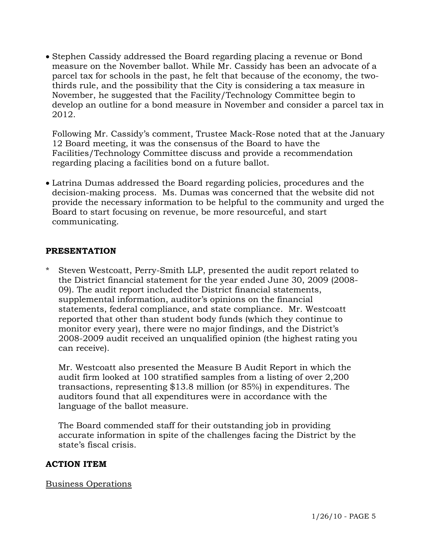• Stephen Cassidy addressed the Board regarding placing a revenue or Bond measure on the November ballot. While Mr. Cassidy has been an advocate of a parcel tax for schools in the past, he felt that because of the economy, the twothirds rule, and the possibility that the City is considering a tax measure in November, he suggested that the Facility/Technology Committee begin to develop an outline for a bond measure in November and consider a parcel tax in 2012.

 Following Mr. Cassidy's comment, Trustee Mack-Rose noted that at the January 12 Board meeting, it was the consensus of the Board to have the Facilities/Technology Committee discuss and provide a recommendation regarding placing a facilities bond on a future ballot.

• Latrina Dumas addressed the Board regarding policies, procedures and the decision-making process. Ms. Dumas was concerned that the website did not provide the necessary information to be helpful to the community and urged the Board to start focusing on revenue, be more resourceful, and start communicating.

# **PRESENTATION**

\* Steven Westcoatt, Perry-Smith LLP, presented the audit report related to the District financial statement for the year ended June 30, 2009 (2008- 09). The audit report included the District financial statements, supplemental information, auditor's opinions on the financial statements, federal compliance, and state compliance. Mr. Westcoatt reported that other than student body funds (which they continue to monitor every year), there were no major findings, and the District's 2008-2009 audit received an unqualified opinion (the highest rating you can receive).

 Mr. Westcoatt also presented the Measure B Audit Report in which the audit firm looked at 100 stratified samples from a listing of over 2,200 transactions, representing \$13.8 million (or 85%) in expenditures. The auditors found that all expenditures were in accordance with the language of the ballot measure.

 The Board commended staff for their outstanding job in providing accurate information in spite of the challenges facing the District by the state's fiscal crisis.

## **ACTION ITEM**

Business Operations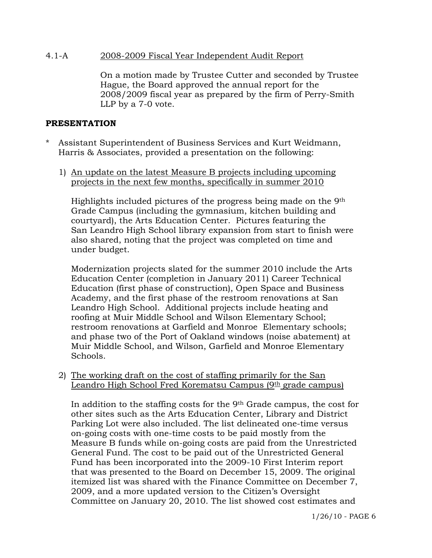#### 4.1-A 2008-2009 Fiscal Year Independent Audit Report

On a motion made by Trustee Cutter and seconded by Trustee Hague, the Board approved the annual report for the 2008/2009 fiscal year as prepared by the firm of Perry-Smith LLP by a 7-0 vote.

#### **PRESENTATION**

- Assistant Superintendent of Business Services and Kurt Weidmann, Harris & Associates, provided a presentation on the following:
	- 1) An update on the latest Measure B projects including upcoming projects in the next few months, specifically in summer 2010

 Highlights included pictures of the progress being made on the 9th Grade Campus (including the gymnasium, kitchen building and courtyard), the Arts Education Center. Pictures featuring the San Leandro High School library expansion from start to finish were also shared, noting that the project was completed on time and under budget.

Modernization projects slated for the summer 2010 include the Arts Education Center (completion in January 2011) Career Technical Education (first phase of construction), Open Space and Business Academy, and the first phase of the restroom renovations at San Leandro High School. Additional projects include heating and roofing at Muir Middle School and Wilson Elementary School; restroom renovations at Garfield and Monroe Elementary schools; and phase two of the Port of Oakland windows (noise abatement) at Muir Middle School, and Wilson, Garfield and Monroe Elementary Schools.

2) The working draft on the cost of staffing primarily for the San Leandro High School Fred Korematsu Campus  $(9<sup>th</sup>$  grade campus)

In addition to the staffing costs for the 9th Grade campus, the cost for other sites such as the Arts Education Center, Library and District Parking Lot were also included. The list delineated one-time versus on-going costs with one-time costs to be paid mostly from the Measure B funds while on-going costs are paid from the Unrestricted General Fund. The cost to be paid out of the Unrestricted General Fund has been incorporated into the 2009-10 First Interim report that was presented to the Board on December 15, 2009. The original itemized list was shared with the Finance Committee on December 7, 2009, and a more updated version to the Citizen's Oversight Committee on January 20, 2010. The list showed cost estimates and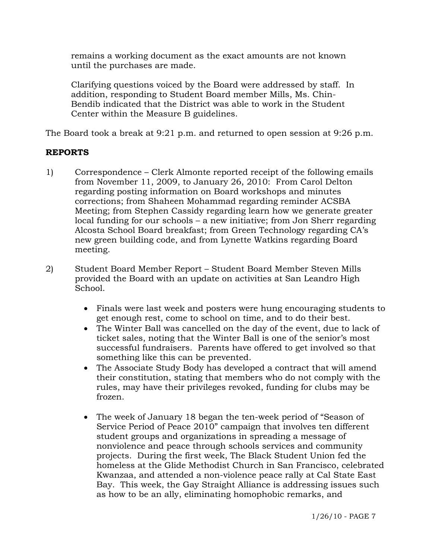remains a working document as the exact amounts are not known until the purchases are made.

Clarifying questions voiced by the Board were addressed by staff. In addition, responding to Student Board member Mills, Ms. Chin-Bendib indicated that the District was able to work in the Student Center within the Measure B guidelines.

The Board took a break at 9:21 p.m. and returned to open session at 9:26 p.m.

# **REPORTS**

- 1) Correspondence Clerk Almonte reported receipt of the following emails from November 11, 2009, to January 26, 2010: From Carol Delton regarding posting information on Board workshops and minutes corrections; from Shaheen Mohammad regarding reminder ACSBA Meeting; from Stephen Cassidy regarding learn how we generate greater local funding for our schools – a new initiative; from Jon Sherr regarding Alcosta School Board breakfast; from Green Technology regarding CA's new green building code, and from Lynette Watkins regarding Board meeting.
- 2) Student Board Member Report Student Board Member Steven Mills provided the Board with an update on activities at San Leandro High School.
	- Finals were last week and posters were hung encouraging students to get enough rest, come to school on time, and to do their best.
	- The Winter Ball was cancelled on the day of the event, due to lack of ticket sales, noting that the Winter Ball is one of the senior's most successful fundraisers. Parents have offered to get involved so that something like this can be prevented.
	- The Associate Study Body has developed a contract that will amend their constitution, stating that members who do not comply with the rules, may have their privileges revoked, funding for clubs may be frozen.
	- The week of January 18 began the ten-week period of "Season of Service Period of Peace 2010" campaign that involves ten different student groups and organizations in spreading a message of nonviolence and peace through schools services and community projects. During the first week, The Black Student Union fed the homeless at the Glide Methodist Church in San Francisco, celebrated Kwanzaa, and attended a non-violence peace rally at Cal State East Bay. This week, the Gay Straight Alliance is addressing issues such as how to be an ally, eliminating homophobic remarks, and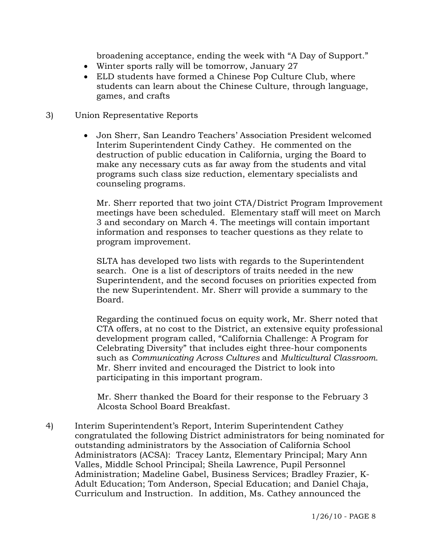broadening acceptance, ending the week with "A Day of Support."

- Winter sports rally will be tomorrow, January 27
- ELD students have formed a Chinese Pop Culture Club, where students can learn about the Chinese Culture, through language, games, and crafts
- 3) Union Representative Reports
	- Jon Sherr, San Leandro Teachers' Association President welcomed Interim Superintendent Cindy Cathey. He commented on the destruction of public education in California, urging the Board to make any necessary cuts as far away from the students and vital programs such class size reduction, elementary specialists and counseling programs.

 Mr. Sherr reported that two joint CTA/District Program Improvement meetings have been scheduled. Elementary staff will meet on March 3 and secondary on March 4. The meetings will contain important information and responses to teacher questions as they relate to program improvement.

 SLTA has developed two lists with regards to the Superintendent search. One is a list of descriptors of traits needed in the new Superintendent, and the second focuses on priorities expected from the new Superintendent. Mr. Sherr will provide a summary to the Board.

 Regarding the continued focus on equity work, Mr. Sherr noted that CTA offers, at no cost to the District, an extensive equity professional development program called, "California Challenge: A Program for Celebrating Diversity" that includes eight three-hour components such as *Communicating Across Cultures* and *Multicultural Classroom*. Mr. Sherr invited and encouraged the District to look into participating in this important program.

 Mr. Sherr thanked the Board for their response to the February 3 Alcosta School Board Breakfast.

4) Interim Superintendent's Report, Interim Superintendent Cathey congratulated the following District administrators for being nominated for outstanding administrators by the Association of California School Administrators (ACSA): Tracey Lantz, Elementary Principal; Mary Ann Valles, Middle School Principal; Sheila Lawrence, Pupil Personnel Administration; Madeline Gabel, Business Services; Bradley Frazier, K-Adult Education; Tom Anderson, Special Education; and Daniel Chaja, Curriculum and Instruction. In addition, Ms. Cathey announced the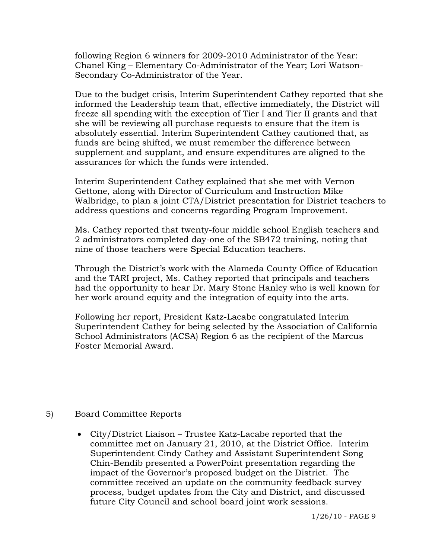following Region 6 winners for 2009-2010 Administrator of the Year: Chanel King – Elementary Co-Administrator of the Year; Lori Watson-Secondary Co-Administrator of the Year.

Due to the budget crisis, Interim Superintendent Cathey reported that she informed the Leadership team that, effective immediately, the District will freeze all spending with the exception of Tier I and Tier II grants and that she will be reviewing all purchase requests to ensure that the item is absolutely essential. Interim Superintendent Cathey cautioned that, as funds are being shifted, we must remember the difference between supplement and supplant, and ensure expenditures are aligned to the assurances for which the funds were intended.

Interim Superintendent Cathey explained that she met with Vernon Gettone, along with Director of Curriculum and Instruction Mike Walbridge, to plan a joint CTA/District presentation for District teachers to address questions and concerns regarding Program Improvement.

Ms. Cathey reported that twenty-four middle school English teachers and 2 administrators completed day-one of the SB472 training, noting that nine of those teachers were Special Education teachers.

Through the District's work with the Alameda County Office of Education and the TARI project, Ms. Cathey reported that principals and teachers had the opportunity to hear Dr. Mary Stone Hanley who is well known for her work around equity and the integration of equity into the arts.

Following her report, President Katz-Lacabe congratulated Interim Superintendent Cathey for being selected by the Association of California School Administrators (ACSA) Region 6 as the recipient of the Marcus Foster Memorial Award.

## 5) Board Committee Reports

• City/District Liaison – Trustee Katz-Lacabe reported that the committee met on January 21, 2010, at the District Office. Interim Superintendent Cindy Cathey and Assistant Superintendent Song Chin-Bendib presented a PowerPoint presentation regarding the impact of the Governor's proposed budget on the District. The committee received an update on the community feedback survey process, budget updates from the City and District, and discussed future City Council and school board joint work sessions.

1/26/10 - PAGE 9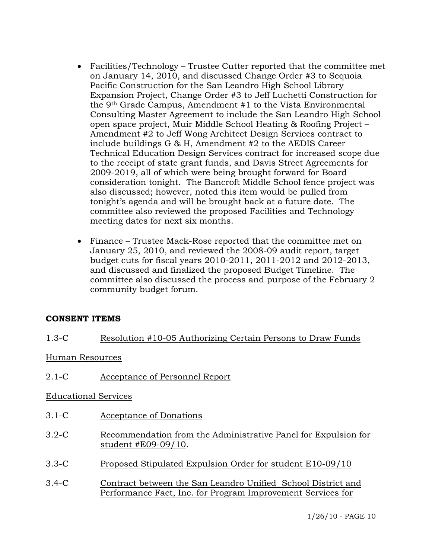- Facilities/Technology Trustee Cutter reported that the committee met on January 14, 2010, and discussed Change Order #3 to Sequoia Pacific Construction for the San Leandro High School Library Expansion Project, Change Order #3 to Jeff Luchetti Construction for the 9th Grade Campus, Amendment #1 to the Vista Environmental Consulting Master Agreement to include the San Leandro High School open space project, Muir Middle School Heating & Roofing Project – Amendment #2 to Jeff Wong Architect Design Services contract to include buildings G & H, Amendment #2 to the AEDIS Career Technical Education Design Services contract for increased scope due to the receipt of state grant funds, and Davis Street Agreements for 2009-2019, all of which were being brought forward for Board consideration tonight. The Bancroft Middle School fence project was also discussed; however, noted this item would be pulled from tonight's agenda and will be brought back at a future date. The committee also reviewed the proposed Facilities and Technology meeting dates for next six months.
- Finance Trustee Mack-Rose reported that the committee met on January 25, 2010, and reviewed the 2008-09 audit report, target budget cuts for fiscal years 2010-2011, 2011-2012 and 2012-2013, and discussed and finalized the proposed Budget Timeline. The committee also discussed the process and purpose of the February 2 community budget forum.

## **CONSENT ITEMS**

# 1.3-C Resolution #10-05 Authorizing Certain Persons to Draw Funds

#### Human Resources

2.1-C Acceptance of Personnel Report

## Educational Services

- 3.1-C Acceptance of Donations
- 3.2-C Recommendation from the Administrative Panel for Expulsion for student #E09-09/10.
- 3.3-C Proposed Stipulated Expulsion Order for student E10-09/10
- 3.4-C Contract between the San Leandro Unified School District and Performance Fact, Inc. for Program Improvement Services for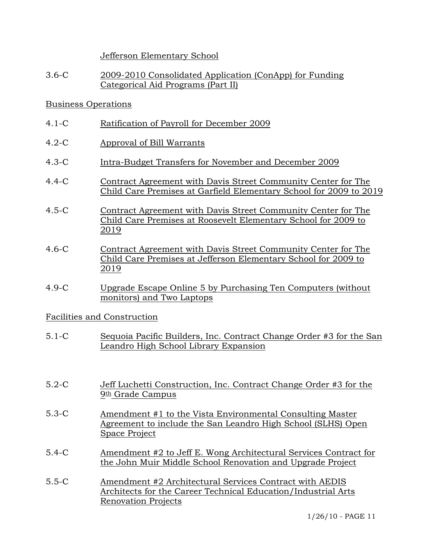Jefferson Elementary School

3.6-C 2009-2010 Consolidated Application (ConApp) for Funding Categorical Aid Programs (Part II)

### Business Operations

- 4.1-C Ratification of Payroll for December 2009
- 4.2-C Approval of Bill Warrants
- 4.3-C Intra-Budget Transfers for November and December 2009
- 4.4-C Contract Agreement with Davis Street Community Center for The Child Care Premises at Garfield Elementary School for 2009 to 2019
- 4.5-C Contract Agreement with Davis Street Community Center for The Child Care Premises at Roosevelt Elementary School for 2009 to 2019
- 4.6-C Contract Agreement with Davis Street Community Center for The Child Care Premises at Jefferson Elementary School for 2009 to 2019
- 4.9-C Upgrade Escape Online 5 by Purchasing Ten Computers (without monitors) and Two Laptops

#### Facilities and Construction

- 5.1-C Sequoia Pacific Builders, Inc. Contract Change Order #3 for the San Leandro High School Library Expansion
- 5.2-C Jeff Luchetti Construction, Inc. Contract Change Order #3 for the 9th Grade Campus
- 5.3-C Amendment #1 to the Vista Environmental Consulting Master Agreement to include the San Leandro High School (SLHS) Open Space Project
- 5.4-C Amendment #2 to Jeff E. Wong Architectural Services Contract for the John Muir Middle School Renovation and Upgrade Project
- 5.5-C Amendment #2 Architectural Services Contract with AEDIS Architects for the Career Technical Education/Industrial Arts Renovation Projects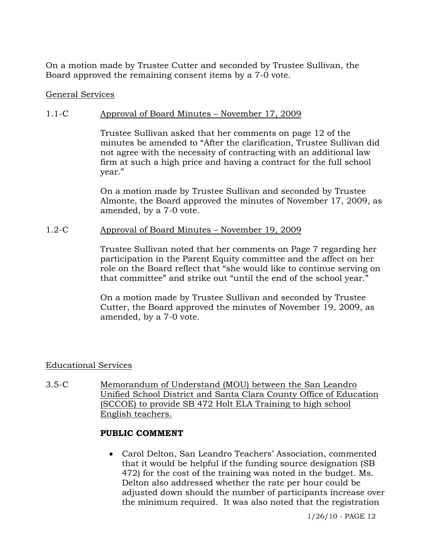On a motion made by Trustee Cutter and seconded by Trustee Sullivan, the Board approved the remaining consent items by a 7-0 vote.

#### General Services

### 1.1-C Approval of Board Minutes – November 17, 2009

Trustee Sullivan asked that her comments on page 12 of the minutes be amended to "After the clarification, Trustee Sullivan did not agree with the necessity of contracting with an additional law firm at such a high price and having a contract for the full school year."

On a motion made by Trustee Sullivan and seconded by Trustee Almonte, the Board approved the minutes of November 17, 2009, as amended, by a 7-0 vote.

#### 1.2-C Approval of Board Minutes – November 19, 2009

Trustee Sullivan noted that her comments on Page 7 regarding her participation in the Parent Equity committee and the affect on her role on the Board reflect that "she would like to continue serving on that committee" and strike out "until the end of the school year."

On a motion made by Trustee Sullivan and seconded by Trustee Cutter, the Board approved the minutes of November 19, 2009, as amended, by a 7-0 vote.

## Educational Services

3.5-C Memorandum of Understand (MOU) between the San Leandro Unified School District and Santa Clara County Office of Education (SCCOE) to provide SB 472 Holt ELA Training to high school English teachers.

#### **PUBLIC COMMENT**

• Carol Delton, San Leandro Teachers' Association, commented that it would be helpful if the funding source designation (SB 472) for the cost of the training was noted in the budget. Ms. Delton also addressed whether the rate per hour could be adjusted down should the number of participants increase over the minimum required. It was also noted that the registration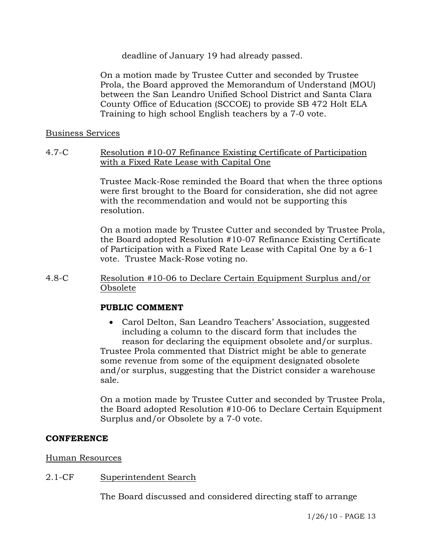deadline of January 19 had already passed.

On a motion made by Trustee Cutter and seconded by Trustee Prola, the Board approved the Memorandum of Understand (MOU) between the San Leandro Unified School District and Santa Clara County Office of Education (SCCOE) to provide SB 472 Holt ELA Training to high school English teachers by a 7-0 vote.

#### Business Services

4.7-C Resolution #10-07 Refinance Existing Certificate of Participation with a Fixed Rate Lease with Capital One

> Trustee Mack-Rose reminded the Board that when the three options were first brought to the Board for consideration, she did not agree with the recommendation and would not be supporting this resolution.

> On a motion made by Trustee Cutter and seconded by Trustee Prola, the Board adopted Resolution #10-07 Refinance Existing Certificate of Participation with a Fixed Rate Lease with Capital One by a 6-1 vote. Trustee Mack-Rose voting no.

4.8-C Resolution #10-06 to Declare Certain Equipment Surplus and/or Obsolete

#### **PUBLIC COMMENT**

• Carol Delton, San Leandro Teachers' Association, suggested including a column to the discard form that includes the reason for declaring the equipment obsolete and/or surplus. Trustee Prola commented that District might be able to generate some revenue from some of the equipment designated obsolete and/or surplus, suggesting that the District consider a warehouse

On a motion made by Trustee Cutter and seconded by Trustee Prola, the Board adopted Resolution #10-06 to Declare Certain Equipment Surplus and/or Obsolete by a 7-0 vote.

#### **CONFERENCE**

Human Resources

2.1-CF Superintendent Search

sale.

The Board discussed and considered directing staff to arrange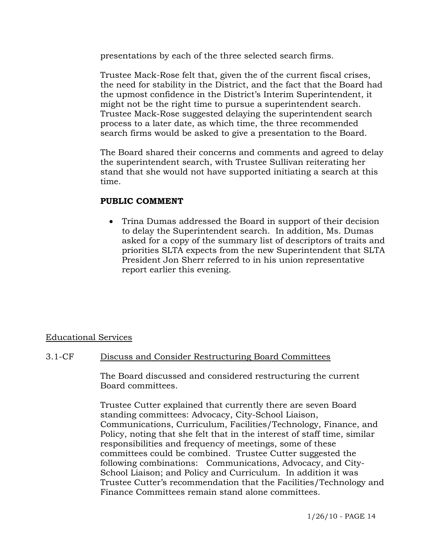presentations by each of the three selected search firms.

Trustee Mack-Rose felt that, given the of the current fiscal crises, the need for stability in the District, and the fact that the Board had the upmost confidence in the District's Interim Superintendent, it might not be the right time to pursue a superintendent search. Trustee Mack-Rose suggested delaying the superintendent search process to a later date, as which time, the three recommended search firms would be asked to give a presentation to the Board.

The Board shared their concerns and comments and agreed to delay the superintendent search, with Trustee Sullivan reiterating her stand that she would not have supported initiating a search at this time.

## **PUBLIC COMMENT**

• Trina Dumas addressed the Board in support of their decision to delay the Superintendent search. In addition, Ms. Dumas asked for a copy of the summary list of descriptors of traits and priorities SLTA expects from the new Superintendent that SLTA President Jon Sherr referred to in his union representative report earlier this evening.

## Educational Services

## 3.1-CF Discuss and Consider Restructuring Board Committees

The Board discussed and considered restructuring the current Board committees.

Trustee Cutter explained that currently there are seven Board standing committees: Advocacy, City-School Liaison, Communications, Curriculum, Facilities/Technology, Finance, and Policy, noting that she felt that in the interest of staff time, similar responsibilities and frequency of meetings, some of these committees could be combined. Trustee Cutter suggested the following combinations: Communications, Advocacy, and City-School Liaison; and Policy and Curriculum. In addition it was Trustee Cutter's recommendation that the Facilities/Technology and Finance Committees remain stand alone committees.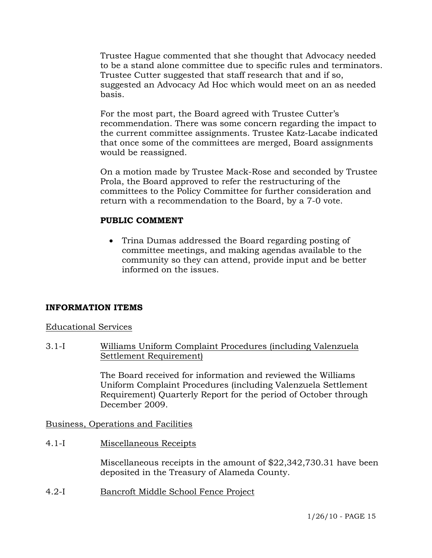Trustee Hague commented that she thought that Advocacy needed to be a stand alone committee due to specific rules and terminators. Trustee Cutter suggested that staff research that and if so, suggested an Advocacy Ad Hoc which would meet on an as needed basis.

For the most part, the Board agreed with Trustee Cutter's recommendation. There was some concern regarding the impact to the current committee assignments. Trustee Katz-Lacabe indicated that once some of the committees are merged, Board assignments would be reassigned.

On a motion made by Trustee Mack-Rose and seconded by Trustee Prola, the Board approved to refer the restructuring of the committees to the Policy Committee for further consideration and return with a recommendation to the Board, by a 7-0 vote.

# **PUBLIC COMMENT**

• Trina Dumas addressed the Board regarding posting of committee meetings, and making agendas available to the community so they can attend, provide input and be better informed on the issues.

# **INFORMATION ITEMS**

Educational Services

3.1-I Williams Uniform Complaint Procedures (including Valenzuela Settlement Requirement)

> The Board received for information and reviewed the Williams Uniform Complaint Procedures (including Valenzuela Settlement Requirement) Quarterly Report for the period of October through December 2009.

Business, Operations and Facilities

4.1-I Miscellaneous Receipts

Miscellaneous receipts in the amount of \$22,342,730.31 have been deposited in the Treasury of Alameda County.

4.2-I Bancroft Middle School Fence Project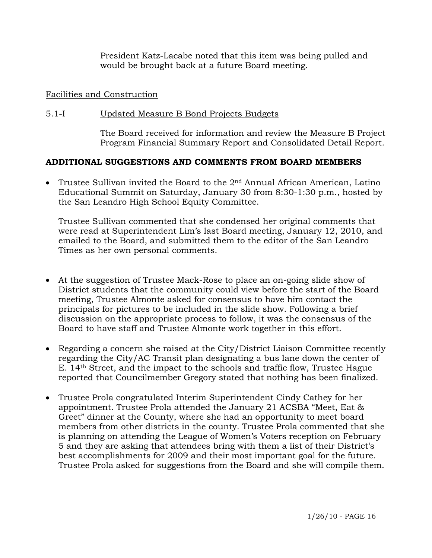President Katz-Lacabe noted that this item was being pulled and would be brought back at a future Board meeting.

## Facilities and Construction

## 5.1-I Updated Measure B Bond Projects Budgets

The Board received for information and review the Measure B Project Program Financial Summary Report and Consolidated Detail Report.

# **ADDITIONAL SUGGESTIONS AND COMMENTS FROM BOARD MEMBERS**

• Trustee Sullivan invited the Board to the  $2<sup>nd</sup>$  Annual African American, Latino Educational Summit on Saturday, January 30 from 8:30-1:30 p.m., hosted by the San Leandro High School Equity Committee.

Trustee Sullivan commented that she condensed her original comments that were read at Superintendent Lim's last Board meeting, January 12, 2010, and emailed to the Board, and submitted them to the editor of the San Leandro Times as her own personal comments.

- At the suggestion of Trustee Mack-Rose to place an on-going slide show of District students that the community could view before the start of the Board meeting, Trustee Almonte asked for consensus to have him contact the principals for pictures to be included in the slide show. Following a brief discussion on the appropriate process to follow, it was the consensus of the Board to have staff and Trustee Almonte work together in this effort.
- Regarding a concern she raised at the City/District Liaison Committee recently regarding the City/AC Transit plan designating a bus lane down the center of E. 14th Street, and the impact to the schools and traffic flow, Trustee Hague reported that Councilmember Gregory stated that nothing has been finalized.
- Trustee Prola congratulated Interim Superintendent Cindy Cathey for her appointment. Trustee Prola attended the January 21 ACSBA "Meet, Eat & Greet" dinner at the County, where she had an opportunity to meet board members from other districts in the county. Trustee Prola commented that she is planning on attending the League of Women's Voters reception on February 5 and they are asking that attendees bring with them a list of their District's best accomplishments for 2009 and their most important goal for the future. Trustee Prola asked for suggestions from the Board and she will compile them.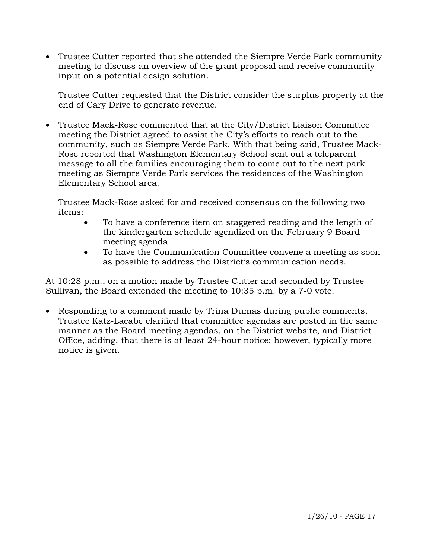• Trustee Cutter reported that she attended the Siempre Verde Park community meeting to discuss an overview of the grant proposal and receive community input on a potential design solution.

 Trustee Cutter requested that the District consider the surplus property at the end of Cary Drive to generate revenue.

• Trustee Mack-Rose commented that at the City/District Liaison Committee meeting the District agreed to assist the City's efforts to reach out to the community, such as Siempre Verde Park. With that being said, Trustee Mack-Rose reported that Washington Elementary School sent out a teleparent message to all the families encouraging them to come out to the next park meeting as Siempre Verde Park services the residences of the Washington Elementary School area.

 Trustee Mack-Rose asked for and received consensus on the following two items:

- To have a conference item on staggered reading and the length of the kindergarten schedule agendized on the February 9 Board meeting agenda
- To have the Communication Committee convene a meeting as soon as possible to address the District's communication needs.

At 10:28 p.m., on a motion made by Trustee Cutter and seconded by Trustee Sullivan, the Board extended the meeting to 10:35 p.m. by a 7-0 vote.

• Responding to a comment made by Trina Dumas during public comments, Trustee Katz-Lacabe clarified that committee agendas are posted in the same manner as the Board meeting agendas, on the District website, and District Office, adding, that there is at least 24-hour notice; however, typically more notice is given.